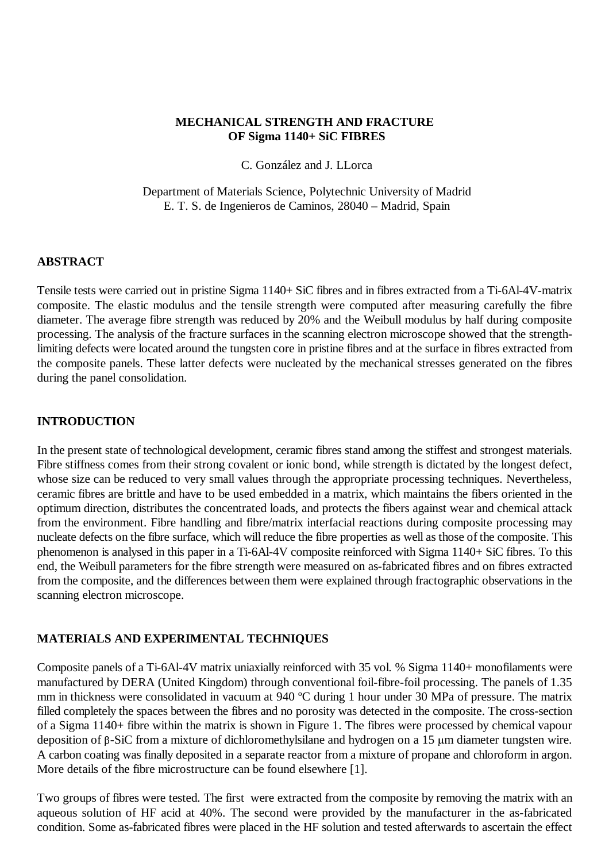## **MECHANICAL STRENGTH AND FRACTURE OF Sigma 1140+ SiC FIBRES**

C. González and J. LLorca

Department of Materials Science, Polytechnic University of Madrid E. T. S. de Ingenieros de Caminos, 28040 – Madrid, Spain

## **ABSTRACT**

Tensile tests were carried out in pristine Sigma 1140+ SiC fibres and in fibres extracted from a Ti-6Al-4V-matrix composite. The elastic modulus and the tensile strength were computed after measuring carefully the fibre diameter. The average fibre strength was reduced by 20% and the Weibull modulus by half during composite processing. The analysis of the fracture surfaces in the scanning electron microscope showed that the strengthlimiting defects were located around the tungsten core in pristine fibres and at the surface in fibres extracted from the composite panels. These latter defects were nucleated by the mechanical stresses generated on the fibres during the panel consolidation.

## **INTRODUCTION**

In the present state of technological development, ceramic fibres stand among the stiffest and strongest materials. Fibre stiffness comes from their strong covalent or ionic bond, while strength is dictated by the longest defect, whose size can be reduced to very small values through the appropriate processing techniques. Nevertheless, ceramic fibres are brittle and have to be used embedded in a matrix, which maintains the fibers oriented in the optimum direction, distributes the concentrated loads, and protects the fibers against wear and chemical attack from the environment. Fibre handling and fibre/matrix interfacial reactions during composite processing may nucleate defects on the fibre surface, which will reduce the fibre properties as well as those of the composite. This phenomenon is analysed in this paper in a Ti-6Al-4V composite reinforced with Sigma 1140+ SiC fibres. To this end, the Weibull parameters for the fibre strength were measured on as-fabricated fibres and on fibres extracted from the composite, and the differences between them were explained through fractographic observations in the scanning electron microscope.

# **MATERIALS AND EXPERIMENTAL TECHNIQUES**

Composite panels of a Ti-6Al-4V matrix uniaxially reinforced with 35 vol. % Sigma 1140+ monofilaments were manufactured by DERA (United Kingdom) through conventional foil-fibre-foil processing. The panels of 1.35 mm in thickness were consolidated in vacuum at 940 ºC during 1 hour under 30 MPa of pressure. The matrix filled completely the spaces between the fibres and no porosity was detected in the composite. The cross-section of a Sigma 1140+ fibre within the matrix is shown in Figure 1. The fibres were processed by chemical vapour deposition of  $\beta$ -SiC from a mixture of dichloromethylsilane and hydrogen on a 15  $\mu$ m diameter tungsten wire. A carbon coating was finally deposited in a separate reactor from a mixture of propane and chloroform in argon. More details of the fibre microstructure can be found elsewhere [1].

Two groups of fibres were tested. The first were extracted from the composite by removing the matrix with an aqueous solution of HF acid at 40%. The second were provided by the manufacturer in the as-fabricated condition. Some as-fabricated fibres were placed in the HF solution and tested afterwards to ascertain the effect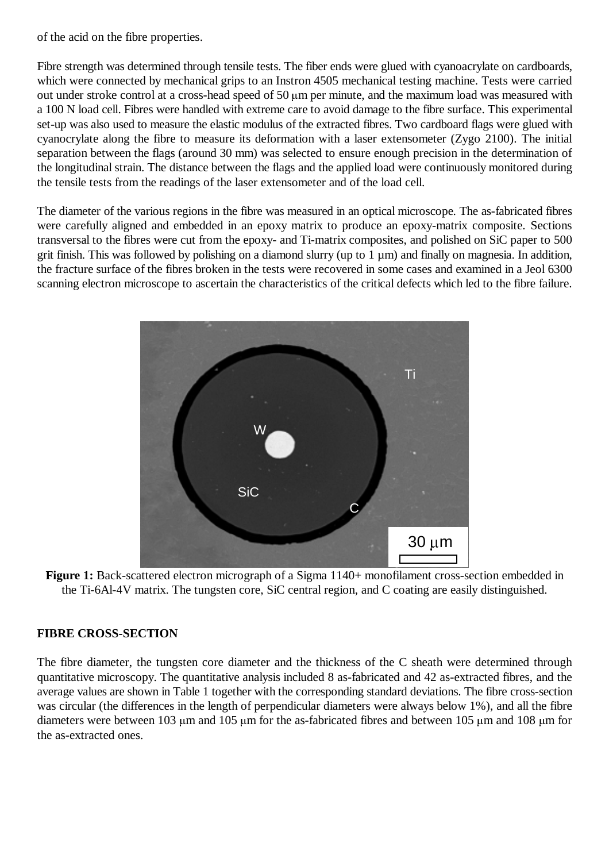of the acid on the fibre properties.

Fibre strength was determined through tensile tests. The fiber ends were glued with cyanoacrylate on cardboards, which were connected by mechanical grips to an Instron 4505 mechanical testing machine. Tests were carried out under stroke control at a cross-head speed of 50  $\mu$ m per minute, and the maximum load was measured with a 100 N load cell. Fibres were handled with extreme care to avoid damage to the fibre surface. This experimental set-up was also used to measure the elastic modulus of the extracted fibres. Two cardboard flags were glued with cyanocrylate along the fibre to measure its deformation with a laser extensometer (Zygo 2100). The initial separation between the flags (around 30 mm) was selected to ensure enough precision in the determination of the longitudinal strain. The distance between the flags and the applied load were continuously monitored during the tensile tests from the readings of the laser extensometer and of the load cell.

The diameter of the various regions in the fibre was measured in an optical microscope. The as-fabricated fibres were carefully aligned and embedded in an epoxy matrix to produce an epoxy-matrix composite. Sections transversal to the fibres were cut from the epoxy- and Ti-matrix composites, and polished on SiC paper to 500 grit finish. This was followed by polishing on a diamond slurry (up to  $1 \mu m$ ) and finally on magnesia. In addition, the fracture surface of the fibres broken in the tests were recovered in some cases and examined in a Jeol 6300 scanning electron microscope to ascertain the characteristics of the critical defects which led to the fibre failure.



**Figure 1:** Back-scattered electron micrograph of a Sigma 1140+ monofilament cross-section embedded in the Ti-6Al-4V matrix. The tungsten core, SiC central region, and C coating are easily distinguished.

### **FIBRE CROSS-SECTION**

The fibre diameter, the tungsten core diameter and the thickness of the C sheath were determined through quantitative microscopy. The quantitative analysis included 8 as-fabricated and 42 as-extracted fibres, and the average values are shown in Table 1 together with the corresponding standard deviations. The fibre cross-section was circular (the differences in the length of perpendicular diameters were always below 1%), and all the fibre diameters were between 103  $\mu$ m and 105  $\mu$ m for the as-fabricated fibres and between 105  $\mu$ m and 108  $\mu$ m for the as-extracted ones.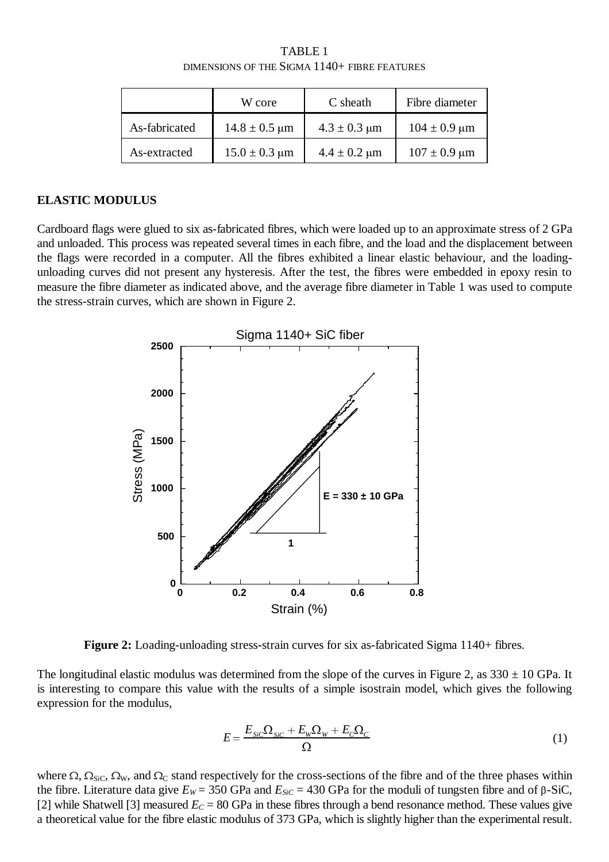TABLE 1 DIMENSIONS OF THE SIGMA 1140+ FIBRE FEATURES

|               | W core                             | C sheath                          | Fibre diameter                    |
|---------------|------------------------------------|-----------------------------------|-----------------------------------|
| As-fabricated | $14.8 \pm 0.5 \text{ }\mu\text{m}$ | $4.3 \pm 0.3 \text{ }\mu\text{m}$ | $104 \pm 0.9 \text{ }\mu\text{m}$ |
| As-extracted  | $15.0 \pm 0.3 \mu m$               | $4.4 \pm 0.2 \text{ }\mu\text{m}$ | $107 \pm 0.9 \text{ }\mu\text{m}$ |

#### **ELASTIC MODULUS**

Cardboard flags were glued to six as-fabricated fibres, which were loaded up to an approximate stress of 2 GPa and unloaded. This process was repeated several times in each fibre, and the load and the displacement between the flags were recorded in a computer. All the fibres exhibited a linear elastic behaviour, and the loadingunloading curves did not present any hysteresis. After the test, the fibres were embedded in epoxy resin to measure the fibre diameter as indicated above, and the average fibre diameter in Table 1 was used to compute the stress-strain curves, which are shown in Figure 2.



**Figure 2:** Loading-unloading stress-strain curves for six as-fabricated Sigma 1140+ fibres.

The longitudinal elastic modulus was determined from the slope of the curves in Figure 2, as  $330 \pm 10$  GPa. It is interesting to compare this value with the results of a simple isostrain model, which gives the following expression for the modulus,

$$
E = \frac{E_{SiC}\Omega_{SiC} + E_w\Omega_w + E_C\Omega_c}{\Omega} \tag{1}
$$

where  $\Omega$ ,  $\Omega_{\text{SiC}}$ ,  $\Omega_{\text{W}}$ , and  $\Omega_{\text{C}}$  stand respectively for the cross-sections of the fibre and of the three phases within the fibre. Literature data give  $E_W$  = 350 GPa and  $E_{SiC}$  = 430 GPa for the moduli of tungsten fibre and of  $\beta$ -SiC, [2] while Shatwell [3] measured  $E_C = 80$  GPa in these fibres through a bend resonance method. These values give a theoretical value for the fibre elastic modulus of 373 GPa, which is slightly higher than the experimental result.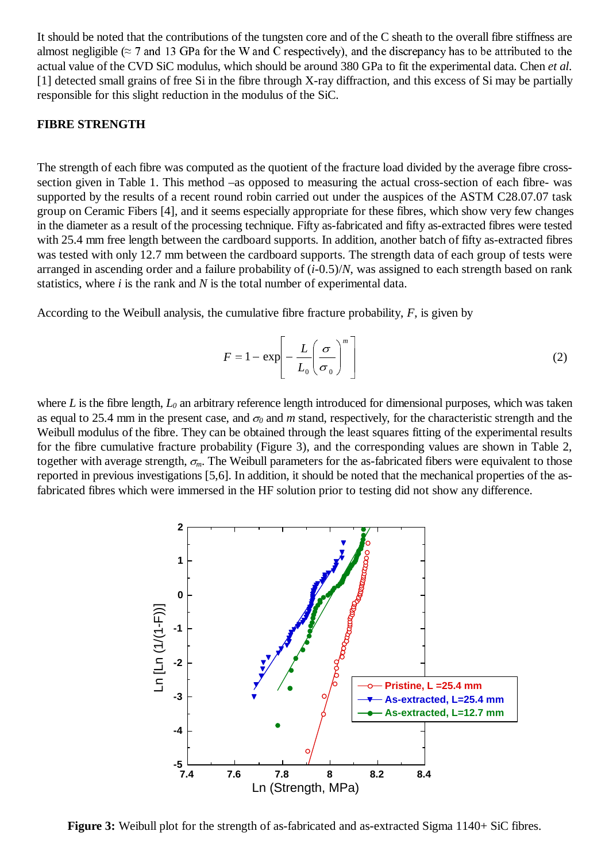It should be noted that the contributions of the tungsten core and of the C sheath to the overall fibre stiffness are almost negligible ( $\approx$  7 and 13 GPa for the W and C respectively), and the discrepancy has to be attributed to the actual value of the CVD SiC modulus, which should be around 380 GPa to fit the experimental data. Chen *et al.* [1] detected small grains of free Si in the fibre through X-ray diffraction, and this excess of Si may be partially responsible for this slight reduction in the modulus of the SiC.

#### **FIBRE STRENGTH**

The strength of each fibre was computed as the quotient of the fracture load divided by the average fibre crosssection given in Table 1. This method –as opposed to measuring the actual cross-section of each fibre- was supported by the results of a recent round robin carried out under the auspices of the ASTM C28.07.07 task group on Ceramic Fibers [4], and it seems especially appropriate for these fibres, which show very few changes in the diameter as a result of the processing technique. Fifty as-fabricated and fifty as-extracted fibres were tested with 25.4 mm free length between the cardboard supports. In addition, another batch of fifty as-extracted fibres was tested with only 12.7 mm between the cardboard supports. The strength data of each group of tests were arranged in ascending order and a failure probability of (*i*-0.5)/*N*, was assigned to each strength based on rank statistics, where *i* is the rank and *N* is the total number of experimental data.

According to the Weibull analysis, the cumulative fibre fracture probability, *F*, is given by

$$
F = 1 - \exp\left[-\frac{L}{L_0} \left(\frac{\sigma}{\sigma_0}\right)^m\right]
$$
 (2)

where *L* is the fibre length,  $L_0$  an arbitrary reference length introduced for dimensional purposes, which was taken as equal to 25.4 mm in the present case, and  $\sigma_0$  and *m* stand, respectively, for the characteristic strength and the Weibull modulus of the fibre. They can be obtained through the least squares fitting of the experimental results for the fibre cumulative fracture probability (Figure 3), and the corresponding values are shown in Table 2, together with average strength,  $\sigma_m$ . The Weibull parameters for the as-fabricated fibers were equivalent to those reported in previous investigations [5,6]. In addition, it should be noted that the mechanical properties of the asfabricated fibres which were immersed in the HF solution prior to testing did not show any difference.



**Figure 3:** Weibull plot for the strength of as-fabricated and as-extracted Sigma 1140+ SiC fibres.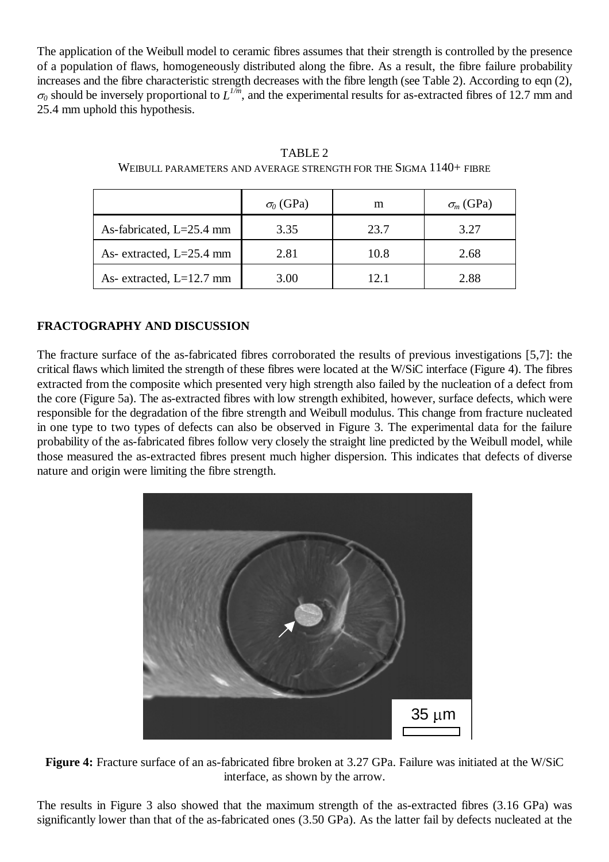The application of the Weibull model to ceramic fibres assumes that their strength is controlled by the presence of a population of flaws, homogeneously distributed along the fibre. As a result, the fibre failure probability increases and the fibre characteristic strength decreases with the fibre length (see Table 2). According to eqn (2),  $\sigma_0$  should be inversely proportional to  $L^{1/m}$ , and the experimental results for as-extracted fibres of 12.7 mm and 25.4 mm uphold this hypothesis.

|                            | $\sigma_0$ (GPa) | m    | $\sigma_m$ (GPa) |
|----------------------------|------------------|------|------------------|
| As-fabricated, $L=25.4$ mm | 3.35             | 23.7 | 3.27             |
| As- extracted, $L=25.4$ mm | 2.81             | 10.8 | 2.68             |
| As- extracted, $L=12.7$ mm | 3.00             | 12.1 | 2.88             |

TABLE 2 WEIBULL PARAMETERS AND AVERAGE STRENGTH FOR THE SIGMA 1140+ FIBRE

# **FRACTOGRAPHY AND DISCUSSION**

The fracture surface of the as-fabricated fibres corroborated the results of previous investigations [5,7]: the critical flaws which limited the strength of these fibres were located at the W/SiC interface (Figure 4). The fibres extracted from the composite which presented very high strength also failed by the nucleation of a defect from the core (Figure 5a). The as-extracted fibres with low strength exhibited, however, surface defects, which were responsible for the degradation of the fibre strength and Weibull modulus. This change from fracture nucleated in one type to two types of defects can also be observed in Figure 3. The experimental data for the failure probability of the as-fabricated fibres follow very closely the straight line predicted by the Weibull model, while those measured the as-extracted fibres present much higher dispersion. This indicates that defects of diverse nature and origin were limiting the fibre strength.



**Figure 4:** Fracture surface of an as-fabricated fibre broken at 3.27 GPa. Failure was initiated at the W/SiC interface, as shown by the arrow.

The results in Figure 3 also showed that the maximum strength of the as-extracted fibres (3.16 GPa) was significantly lower than that of the as-fabricated ones (3.50 GPa). As the latter fail by defects nucleated at the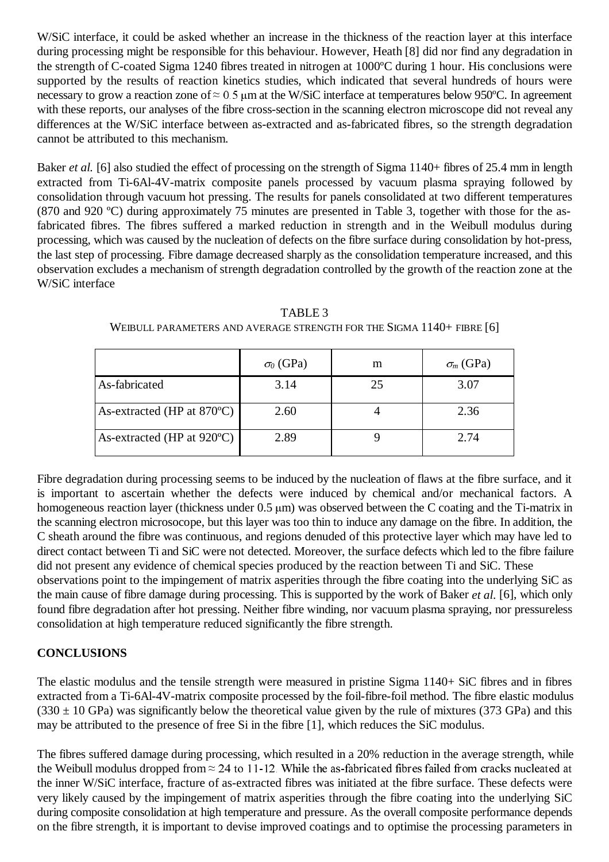W/SiC interface, it could be asked whether an increase in the thickness of the reaction layer at this interface during processing might be responsible for this behaviour. However, Heath [8] did nor find any degradation in the strength of C-coated Sigma 1240 fibres treated in nitrogen at 1000ºC during 1 hour. His conclusions were supported by the results of reaction kinetics studies, which indicated that several hundreds of hours were necessary to grow a reaction zone of  $\approx 0.5$  µm at the W/SiC interface at temperatures below 950°C. In agreement with these reports, our analyses of the fibre cross-section in the scanning electron microscope did not reveal any differences at the W/SiC interface between as-extracted and as-fabricated fibres, so the strength degradation cannot be attributed to this mechanism.

Baker *et al.* [6] also studied the effect of processing on the strength of Sigma 1140+ fibres of 25.4 mm in length extracted from Ti-6Al-4V-matrix composite panels processed by vacuum plasma spraying followed by consolidation through vacuum hot pressing. The results for panels consolidated at two different temperatures (870 and 920 ºC) during approximately 75 minutes are presented in Table 3, together with those for the asfabricated fibres. The fibres suffered a marked reduction in strength and in the Weibull modulus during processing, which was caused by the nucleation of defects on the fibre surface during consolidation by hot-press, the last step of processing. Fibre damage decreased sharply as the consolidation temperature increased, and this observation excludes a mechanism of strength degradation controlled by the growth of the reaction zone at the W/SiC interface

|                                      | $\sigma_0$ (GPa) | m  | $\sigma_m$ (GPa) |
|--------------------------------------|------------------|----|------------------|
| As-fabricated                        | 3.14             | 25 | 3.07             |
| As-extracted (HP at 870°C)           | 2.60             |    | 2.36             |
| As-extracted (HP at $920^{\circ}$ C) | 2.89             |    | 2.74             |

TABLE 3 WEIBULL PARAMETERS AND AVERAGE STRENGTH FOR THE SIGMA 1140+ FIBRE [6]

Fibre degradation during processing seems to be induced by the nucleation of flaws at the fibre surface, and it is important to ascertain whether the defects were induced by chemical and/or mechanical factors. A homogeneous reaction layer (thickness under  $0.5 \mu m$ ) was observed between the C coating and the Ti-matrix in the scanning electron microsocope, but this layer was too thin to induce any damage on the fibre. In addition, the C sheath around the fibre was continuous, and regions denuded of this protective layer which may have led to direct contact between Ti and SiC were not detected. Moreover, the surface defects which led to the fibre failure did not present any evidence of chemical species produced by the reaction between Ti and SiC. These observations point to the impingement of matrix asperities through the fibre coating into the underlying SiC as the main cause of fibre damage during processing. This is supported by the work of Baker *et al.* [6], which only found fibre degradation after hot pressing. Neither fibre winding, nor vacuum plasma spraying, nor pressureless consolidation at high temperature reduced significantly the fibre strength.

# **CONCLUSIONS**

The elastic modulus and the tensile strength were measured in pristine Sigma 1140+ SiC fibres and in fibres extracted from a Ti-6Al-4V-matrix composite processed by the foil-fibre-foil method. The fibre elastic modulus  $(330 \pm 10 \text{ GPa})$  was significantly below the theoretical value given by the rule of mixtures (373 GPa) and this may be attributed to the presence of free Si in the fibre [1], which reduces the SiC modulus.

The fibres suffered damage during processing, which resulted in a 20% reduction in the average strength, while the Weibull modulus dropped from  $\approx 24$  to 11-12. While the as-fabricated fibres failed from cracks nucleated at the inner W/SiC interface, fracture of as-extracted fibres was initiated at the fibre surface. These defects were very likely caused by the impingement of matrix asperities through the fibre coating into the underlying SiC during composite consolidation at high temperature and pressure. As the overall composite performance depends on the fibre strength, it is important to devise improved coatings and to optimise the processing parameters in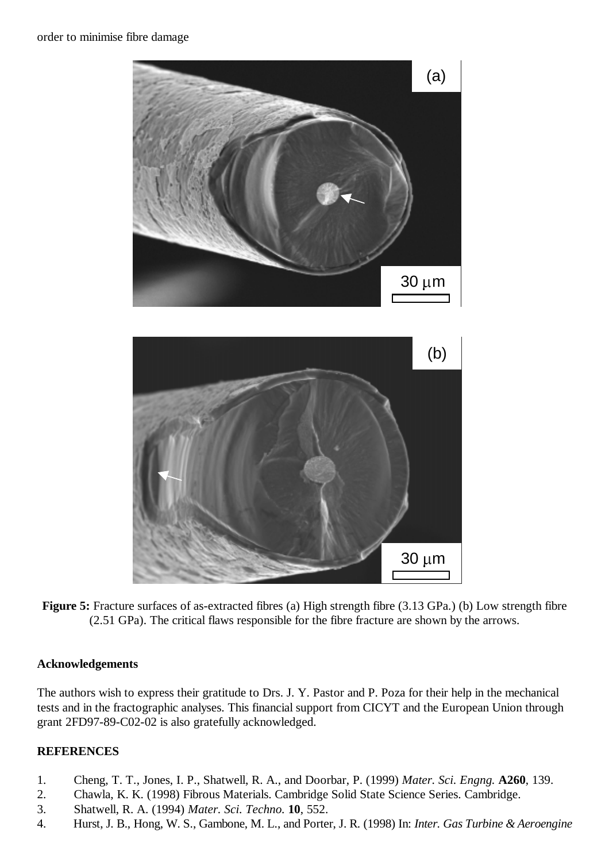order to minimise fibre damage



**Figure 5:** Fracture surfaces of as-extracted fibres (a) High strength fibre (3.13 GPa.) (b) Low strength fibre (2.51 GPa). The critical flaws responsible for the fibre fracture are shown by the arrows.

# **Acknowledgements**

The authors wish to express their gratitude to Drs. J. Y. Pastor and P. Poza for their help in the mechanical tests and in the fractographic analyses. This financial support from CICYT and the European Union through grant 2FD97-89-C02-02 is also gratefully acknowledged.

# **REFERENCES**

- 1. Cheng, T. T., Jones, I. P., Shatwell, R. A., and Doorbar, P. (1999) *Mater. Sci. Engng.* **A260**, 139.
- 2. Chawla, K. K. (1998) Fibrous Materials. Cambridge Solid State Science Series. Cambridge.
- 3. Shatwell, R. A. (1994) *Mater. Sci. Techno.* **10**, 552.
- 4. Hurst, J. B., Hong, W. S., Gambone, M. L., and Porter, J. R. (1998) In: *Inter. Gas Turbine & Aeroengine*